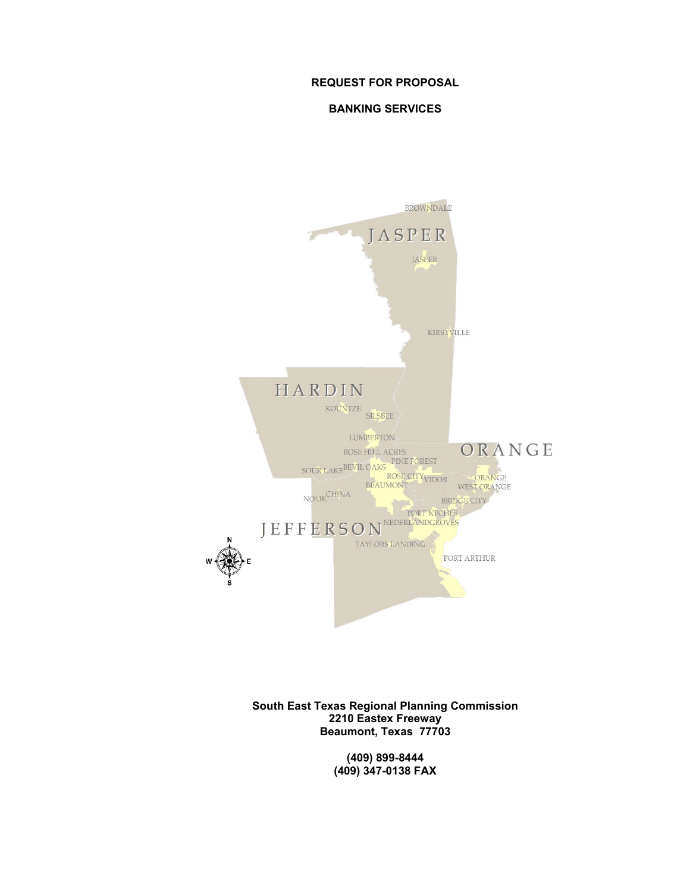#### **REQUEST FOR PROPOSAL**

#### **BANKING SERVICES**



**South East Texas Regional Planning Commission 2210 Eastex Freeway Beaumont, Texas 77703**

> **(409) 899-8444 (409) 347-0138 FAX**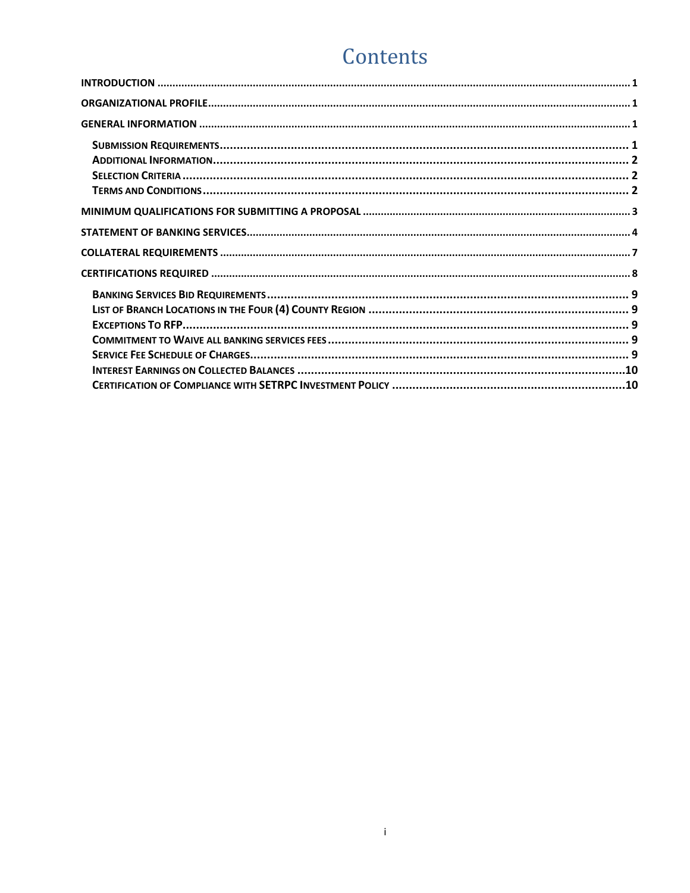# Contents

 $\mathbf{i}$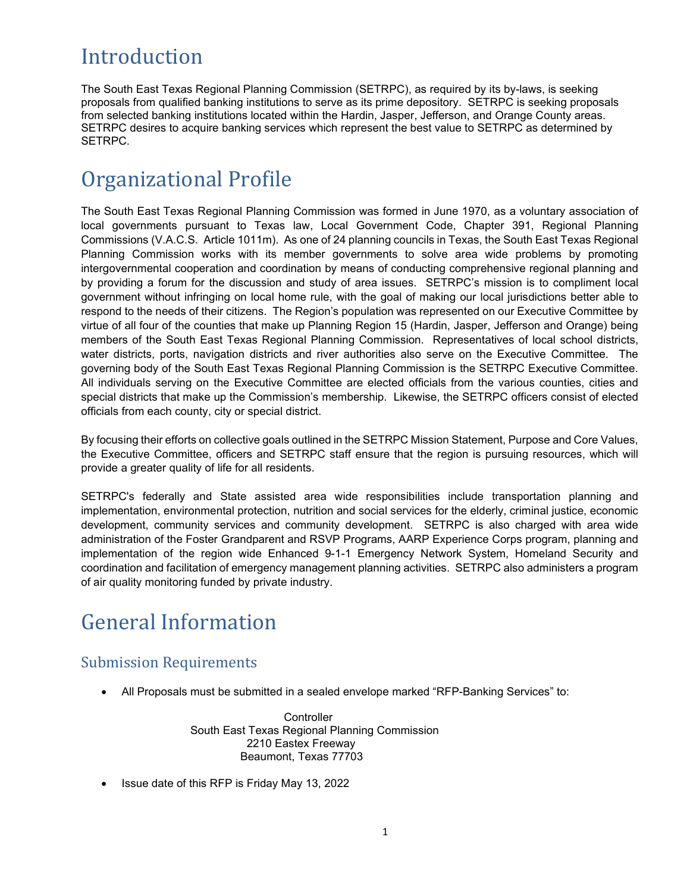# <span id="page-2-0"></span>Introduction

The South East Texas Regional Planning Commission (SETRPC), as required by its by-laws, is seeking proposals from qualified banking institutions to serve as its prime depository. SETRPC is seeking proposals from selected banking institutions located within the Hardin, Jasper, Jefferson, and Orange County areas. SETRPC desires to acquire banking services which represent the best value to SETRPC as determined by SETRPC.

## <span id="page-2-1"></span>Organizational Profile

The South East Texas Regional Planning Commission was formed in June 1970, as a voluntary association of local governments pursuant to Texas law, Local Government Code, Chapter 391, Regional Planning Commissions (V.A.C.S. Article 1011m). As one of 24 planning councils in Texas, the South East Texas Regional Planning Commission works with its member governments to solve area wide problems by promoting intergovernmental cooperation and coordination by means of conducting comprehensive regional planning and by providing a forum for the discussion and study of area issues. SETRPC's mission is to compliment local government without infringing on local home rule, with the goal of making our local jurisdictions better able to respond to the needs of their citizens. The Region's population was represented on our Executive Committee by virtue of all four of the counties that make up Planning Region 15 (Hardin, Jasper, Jefferson and Orange) being members of the South East Texas Regional Planning Commission. Representatives of local school districts, water districts, ports, navigation districts and river authorities also serve on the Executive Committee. The governing body of the South East Texas Regional Planning Commission is the SETRPC Executive Committee. All individuals serving on the Executive Committee are elected officials from the various counties, cities and special districts that make up the Commission's membership. Likewise, the SETRPC officers consist of elected officials from each county, city or special district.

By focusing their efforts on collective goals outlined in the SETRPC Mission Statement, Purpose and Core Values, the Executive Committee, officers and SETRPC staff ensure that the region is pursuing resources, which will provide a greater quality of life for all residents.

SETRPC's federally and State assisted area wide responsibilities include transportation planning and implementation, environmental protection, nutrition and social services for the elderly, criminal justice, economic development, community services and community development. SETRPC is also charged with area wide administration of the Foster Grandparent and RSVP Programs, AARP Experience Corps program, planning and implementation of the region wide Enhanced 9-1-1 Emergency Network System, Homeland Security and coordination and facilitation of emergency management planning activities. SETRPC also administers a program of air quality monitoring funded by private industry.

# <span id="page-2-2"></span>General Information

### <span id="page-2-3"></span>Submission Requirements

• All Proposals must be submitted in a sealed envelope marked "RFP-Banking Services" to:

**Controller**  South East Texas Regional Planning Commission 2210 Eastex Freeway Beaumont, Texas 77703

• Issue date of this RFP is Friday May 13, 2022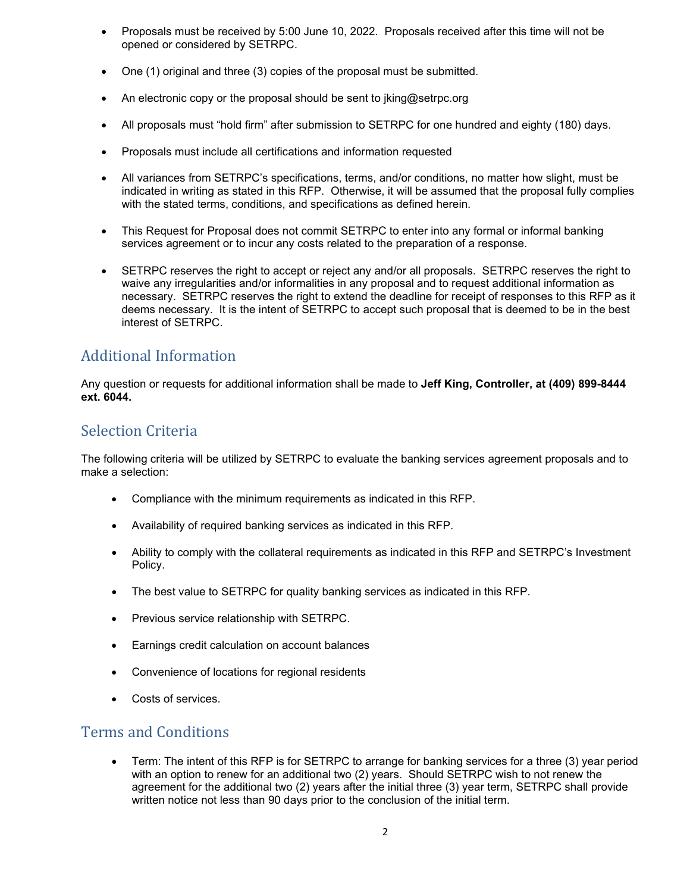- Proposals must be received by 5:00 June 10, 2022. Proposals received after this time will not be opened or considered by SETRPC.
- One (1) original and three (3) copies of the proposal must be submitted.
- An electronic copy or the proposal should be sent to jking@setrpc.org
- All proposals must "hold firm" after submission to SETRPC for one hundred and eighty (180) days.
- Proposals must include all certifications and information requested
- All variances from SETRPC's specifications, terms, and/or conditions, no matter how slight, must be indicated in writing as stated in this RFP. Otherwise, it will be assumed that the proposal fully complies with the stated terms, conditions, and specifications as defined herein.
- This Request for Proposal does not commit SETRPC to enter into any formal or informal banking services agreement or to incur any costs related to the preparation of a response.
- SETRPC reserves the right to accept or reject any and/or all proposals. SETRPC reserves the right to waive any irregularities and/or informalities in any proposal and to request additional information as necessary. SETRPC reserves the right to extend the deadline for receipt of responses to this RFP as it deems necessary. It is the intent of SETRPC to accept such proposal that is deemed to be in the best interest of SETRPC.

### <span id="page-3-0"></span>Additional Information

Any question or requests for additional information shall be made to **Jeff King, Controller, at (409) 899-8444 ext. 6044.**

### <span id="page-3-1"></span>Selection Criteria

The following criteria will be utilized by SETRPC to evaluate the banking services agreement proposals and to make a selection:

- Compliance with the minimum requirements as indicated in this RFP.
- Availability of required banking services as indicated in this RFP.
- Ability to comply with the collateral requirements as indicated in this RFP and SETRPC's Investment Policy.
- The best value to SETRPC for quality banking services as indicated in this RFP.
- Previous service relationship with SETRPC.
- Earnings credit calculation on account balances
- Convenience of locations for regional residents
- Costs of services.

### <span id="page-3-2"></span>Terms and Conditions

• Term: The intent of this RFP is for SETRPC to arrange for banking services for a three (3) year period with an option to renew for an additional two (2) years. Should SETRPC wish to not renew the agreement for the additional two (2) years after the initial three (3) year term, SETRPC shall provide written notice not less than 90 days prior to the conclusion of the initial term.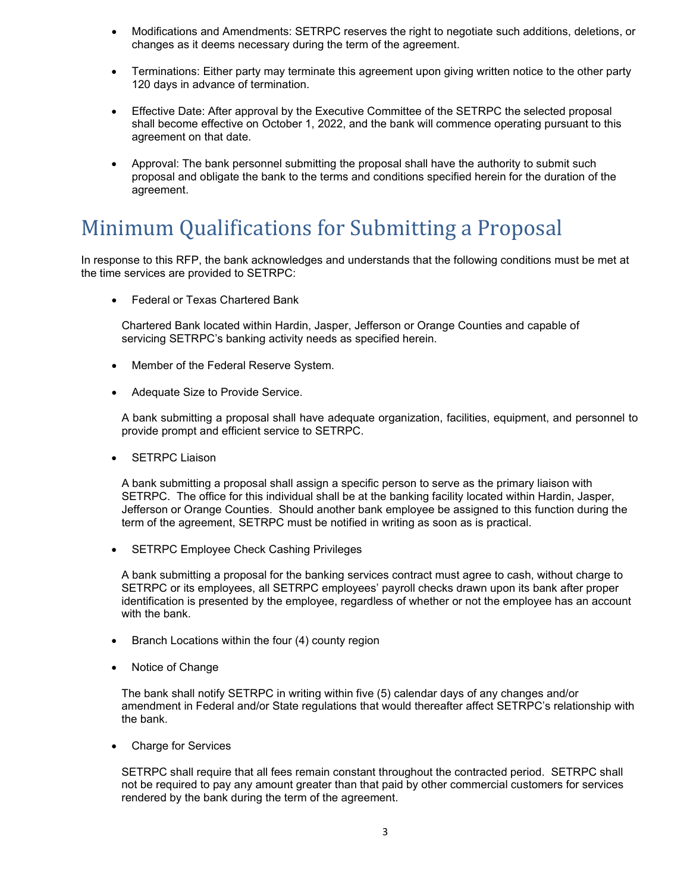- Modifications and Amendments: SETRPC reserves the right to negotiate such additions, deletions, or changes as it deems necessary during the term of the agreement.
- Terminations: Either party may terminate this agreement upon giving written notice to the other party 120 days in advance of termination.
- Effective Date: After approval by the Executive Committee of the SETRPC the selected proposal shall become effective on October 1, 2022, and the bank will commence operating pursuant to this agreement on that date.
- Approval: The bank personnel submitting the proposal shall have the authority to submit such proposal and obligate the bank to the terms and conditions specified herein for the duration of the agreement.

## <span id="page-4-0"></span>Minimum Qualifications for Submitting a Proposal

In response to this RFP, the bank acknowledges and understands that the following conditions must be met at the time services are provided to SETRPC:

• Federal or Texas Chartered Bank

Chartered Bank located within Hardin, Jasper, Jefferson or Orange Counties and capable of servicing SETRPC's banking activity needs as specified herein.

- Member of the Federal Reserve System.
- Adequate Size to Provide Service.

A bank submitting a proposal shall have adequate organization, facilities, equipment, and personnel to provide prompt and efficient service to SETRPC.

**SETRPC Liaison** 

A bank submitting a proposal shall assign a specific person to serve as the primary liaison with SETRPC. The office for this individual shall be at the banking facility located within Hardin, Jasper, Jefferson or Orange Counties. Should another bank employee be assigned to this function during the term of the agreement, SETRPC must be notified in writing as soon as is practical.

• SETRPC Employee Check Cashing Privileges

A bank submitting a proposal for the banking services contract must agree to cash, without charge to SETRPC or its employees, all SETRPC employees' payroll checks drawn upon its bank after proper identification is presented by the employee, regardless of whether or not the employee has an account with the bank.

- Branch Locations within the four (4) county region
- Notice of Change

The bank shall notify SETRPC in writing within five (5) calendar days of any changes and/or amendment in Federal and/or State regulations that would thereafter affect SETRPC's relationship with the bank.

• Charge for Services

SETRPC shall require that all fees remain constant throughout the contracted period. SETRPC shall not be required to pay any amount greater than that paid by other commercial customers for services rendered by the bank during the term of the agreement.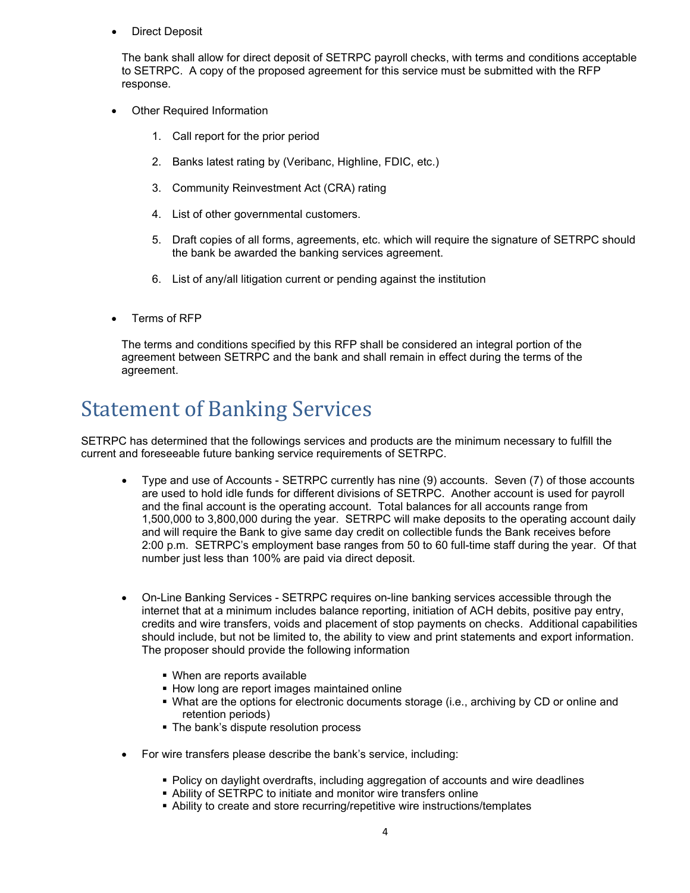• Direct Deposit

The bank shall allow for direct deposit of SETRPC payroll checks, with terms and conditions acceptable to SETRPC. A copy of the proposed agreement for this service must be submitted with the RFP response.

- **Other Required Information** 
	- 1. Call report for the prior period
	- 2. Banks latest rating by (Veribanc, Highline, FDIC, etc.)
	- 3. Community Reinvestment Act (CRA) rating
	- 4. List of other governmental customers.
	- 5. Draft copies of all forms, agreements, etc. which will require the signature of SETRPC should the bank be awarded the banking services agreement.
	- 6. List of any/all litigation current or pending against the institution
- Terms of RFP

The terms and conditions specified by this RFP shall be considered an integral portion of the agreement between SETRPC and the bank and shall remain in effect during the terms of the agreement.

### <span id="page-5-0"></span>Statement of Banking Services

SETRPC has determined that the followings services and products are the minimum necessary to fulfill the current and foreseeable future banking service requirements of SETRPC.

- Type and use of Accounts SETRPC currently has nine (9) accounts. Seven (7) of those accounts are used to hold idle funds for different divisions of SETRPC. Another account is used for payroll and the final account is the operating account. Total balances for all accounts range from 1,500,000 to 3,800,000 during the year. SETRPC will make deposits to the operating account daily and will require the Bank to give same day credit on collectible funds the Bank receives before 2:00 p.m. SETRPC's employment base ranges from 50 to 60 full-time staff during the year. Of that number just less than 100% are paid via direct deposit.
- On-Line Banking Services SETRPC requires on-line banking services accessible through the internet that at a minimum includes balance reporting, initiation of ACH debits, positive pay entry, credits and wire transfers, voids and placement of stop payments on checks. Additional capabilities should include, but not be limited to, the ability to view and print statements and export information. The proposer should provide the following information
	- When are reports available
	- **How long are report images maintained online**
	- What are the options for electronic documents storage (i.e., archiving by CD or online and retention periods)
	- The bank's dispute resolution process
- For wire transfers please describe the bank's service, including:
	- Policy on daylight overdrafts, including aggregation of accounts and wire deadlines
	- Ability of SETRPC to initiate and monitor wire transfers online
	- Ability to create and store recurring/repetitive wire instructions/templates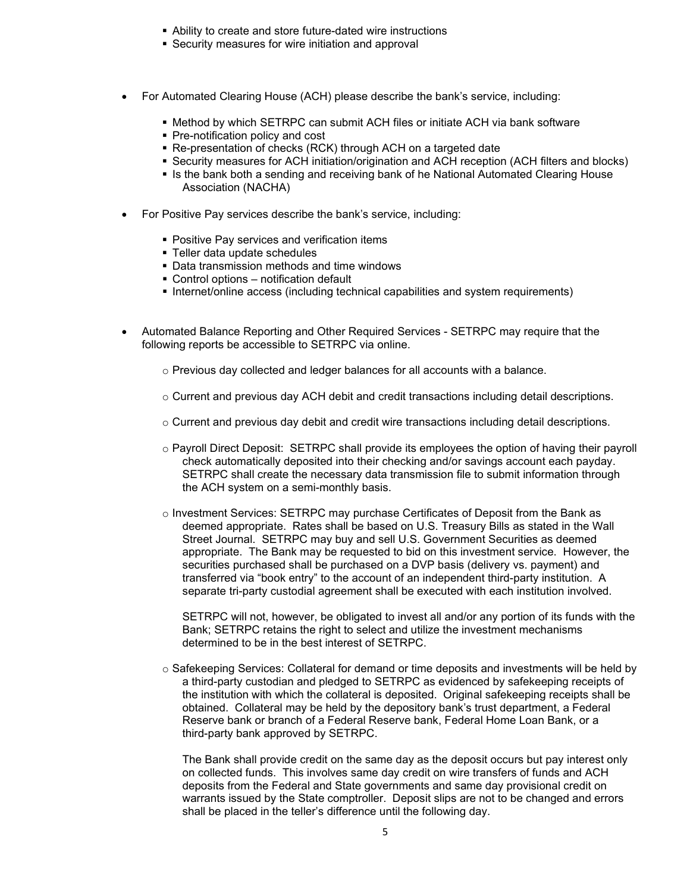- Ability to create and store future-dated wire instructions
- Security measures for wire initiation and approval
- For Automated Clearing House (ACH) please describe the bank's service, including:
	- **Method by which SETRPC can submit ACH files or initiate ACH via bank software**
	- **Pre-notification policy and cost**
	- Re-presentation of checks (RCK) through ACH on a targeted date
	- Security measures for ACH initiation/origination and ACH reception (ACH filters and blocks)
	- If Is the bank both a sending and receiving bank of he National Automated Clearing House Association (NACHA)
- For Positive Pay services describe the bank's service, including:
	- **Positive Pay services and verification items**
	- Teller data update schedules
	- Data transmission methods and time windows
	- Control options notification default
	- **Internet/online access (including technical capabilities and system requirements)**
- Automated Balance Reporting and Other Required Services SETRPC may require that the following reports be accessible to SETRPC via online.
	- o Previous day collected and ledger balances for all accounts with a balance.
	- o Current and previous day ACH debit and credit transactions including detail descriptions.
	- o Current and previous day debit and credit wire transactions including detail descriptions.
	- o Payroll Direct Deposit: SETRPC shall provide its employees the option of having their payroll check automatically deposited into their checking and/or savings account each payday. SETRPC shall create the necessary data transmission file to submit information through the ACH system on a semi-monthly basis.
	- o Investment Services: SETRPC may purchase Certificates of Deposit from the Bank as deemed appropriate. Rates shall be based on U.S. Treasury Bills as stated in the Wall Street Journal. SETRPC may buy and sell U.S. Government Securities as deemed appropriate. The Bank may be requested to bid on this investment service. However, the securities purchased shall be purchased on a DVP basis (delivery vs. payment) and transferred via "book entry" to the account of an independent third-party institution. A separate tri-party custodial agreement shall be executed with each institution involved.

SETRPC will not, however, be obligated to invest all and/or any portion of its funds with the Bank; SETRPC retains the right to select and utilize the investment mechanisms determined to be in the best interest of SETRPC.

 $\circ$  Safekeeping Services: Collateral for demand or time deposits and investments will be held by a third-party custodian and pledged to SETRPC as evidenced by safekeeping receipts of the institution with which the collateral is deposited. Original safekeeping receipts shall be obtained. Collateral may be held by the depository bank's trust department, a Federal Reserve bank or branch of a Federal Reserve bank, Federal Home Loan Bank, or a third-party bank approved by SETRPC.

The Bank shall provide credit on the same day as the deposit occurs but pay interest only on collected funds. This involves same day credit on wire transfers of funds and ACH deposits from the Federal and State governments and same day provisional credit on warrants issued by the State comptroller. Deposit slips are not to be changed and errors shall be placed in the teller's difference until the following day.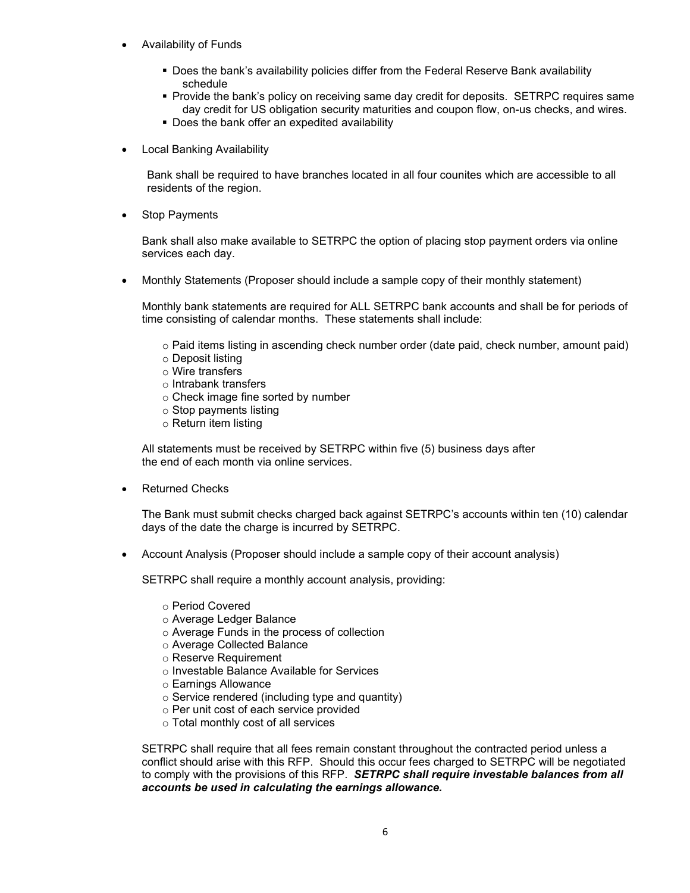- Availability of Funds
	- Does the bank's availability policies differ from the Federal Reserve Bank availability schedule
	- Provide the bank's policy on receiving same day credit for deposits. SETRPC requires same day credit for US obligation security maturities and coupon flow, on-us checks, and wires.
	- Does the bank offer an expedited availability
- Local Banking Availability

Bank shall be required to have branches located in all four counites which are accessible to all residents of the region.

**Stop Payments** 

Bank shall also make available to SETRPC the option of placing stop payment orders via online services each day.

• Monthly Statements (Proposer should include a sample copy of their monthly statement)

Monthly bank statements are required for ALL SETRPC bank accounts and shall be for periods of time consisting of calendar months. These statements shall include:

- o Paid items listing in ascending check number order (date paid, check number, amount paid)
- o Deposit listing
- o Wire transfers
- o Intrabank transfers
- o Check image fine sorted by number
- o Stop payments listing
- o Return item listing

All statements must be received by SETRPC within five (5) business days after the end of each month via online services.

Returned Checks

The Bank must submit checks charged back against SETRPC's accounts within ten (10) calendar days of the date the charge is incurred by SETRPC.

• Account Analysis (Proposer should include a sample copy of their account analysis)

SETRPC shall require a monthly account analysis, providing:

- o Period Covered
- o Average Ledger Balance
- o Average Funds in the process of collection
- o Average Collected Balance
- o Reserve Requirement
- o Investable Balance Available for Services
- o Earnings Allowance
- $\circ$  Service rendered (including type and quantity)
- o Per unit cost of each service provided
- o Total monthly cost of all services

SETRPC shall require that all fees remain constant throughout the contracted period unless a conflict should arise with this RFP. Should this occur fees charged to SETRPC will be negotiated to comply with the provisions of this RFP. *SETRPC shall require investable balances from all accounts be used in calculating the earnings allowance.*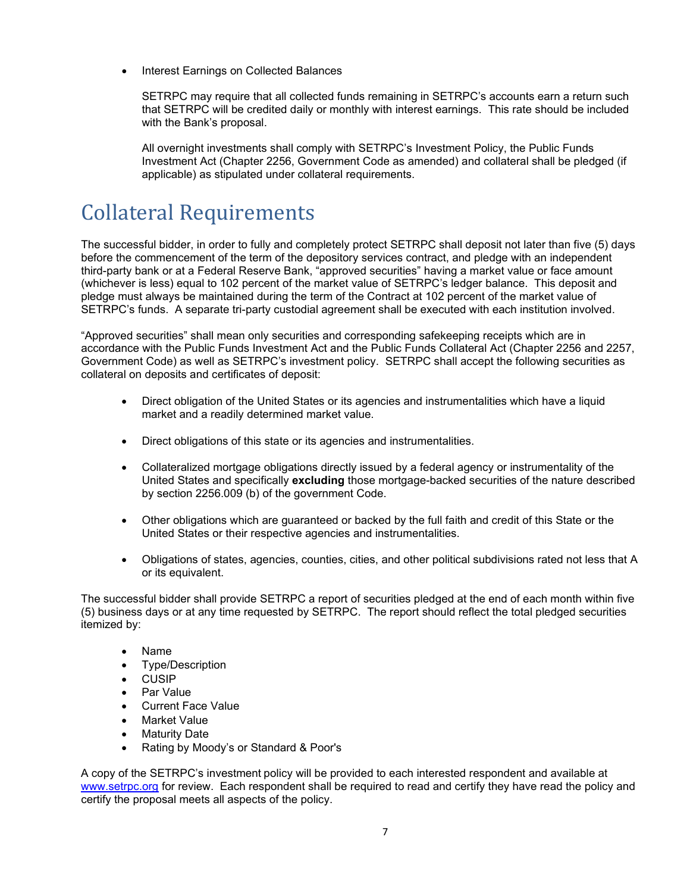• Interest Earnings on Collected Balances

SETRPC may require that all collected funds remaining in SETRPC's accounts earn a return such that SETRPC will be credited daily or monthly with interest earnings. This rate should be included with the Bank's proposal.

All overnight investments shall comply with SETRPC's Investment Policy, the Public Funds Investment Act (Chapter 2256, Government Code as amended) and collateral shall be pledged (if applicable) as stipulated under collateral requirements.

## <span id="page-8-0"></span>Collateral Requirements

The successful bidder, in order to fully and completely protect SETRPC shall deposit not later than five (5) days before the commencement of the term of the depository services contract, and pledge with an independent third-party bank or at a Federal Reserve Bank, "approved securities" having a market value or face amount (whichever is less) equal to 102 percent of the market value of SETRPC's ledger balance. This deposit and pledge must always be maintained during the term of the Contract at 102 percent of the market value of SETRPC's funds. A separate tri-party custodial agreement shall be executed with each institution involved.

"Approved securities" shall mean only securities and corresponding safekeeping receipts which are in accordance with the Public Funds Investment Act and the Public Funds Collateral Act (Chapter 2256 and 2257, Government Code) as well as SETRPC's investment policy. SETRPC shall accept the following securities as collateral on deposits and certificates of deposit:

- Direct obligation of the United States or its agencies and instrumentalities which have a liquid market and a readily determined market value.
- Direct obligations of this state or its agencies and instrumentalities.
- Collateralized mortgage obligations directly issued by a federal agency or instrumentality of the United States and specifically **excluding** those mortgage-backed securities of the nature described by section 2256.009 (b) of the government Code.
- Other obligations which are guaranteed or backed by the full faith and credit of this State or the United States or their respective agencies and instrumentalities.
- Obligations of states, agencies, counties, cities, and other political subdivisions rated not less that A or its equivalent.

The successful bidder shall provide SETRPC a report of securities pledged at the end of each month within five (5) business days or at any time requested by SETRPC. The report should reflect the total pledged securities itemized by:

- Name
- Type/Description
- CUSIP
- Par Value
- Current Face Value
- **Market Value**
- Maturity Date
- Rating by Moody's or Standard & Poor's

A copy of the SETRPC's investment policy will be provided to each interested respondent and available at [www.setrpc.org](http://www.setrpc.org/) for review. Each respondent shall be required to read and certify they have read the policy and certify the proposal meets all aspects of the policy.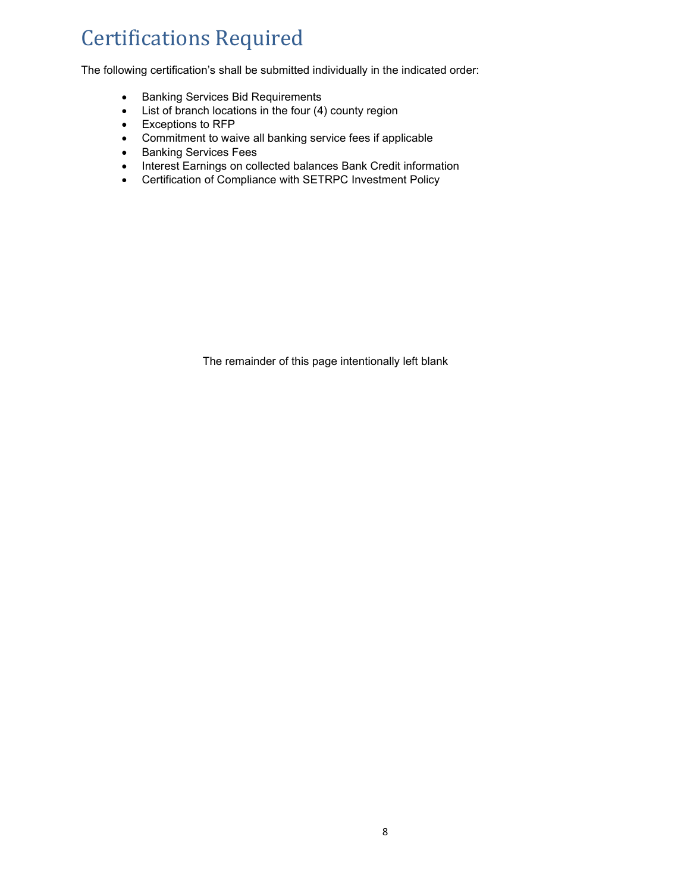# <span id="page-9-0"></span>Certifications Required

The following certification's shall be submitted individually in the indicated order:

- Banking Services Bid Requirements
- List of branch locations in the four (4) county region
- Exceptions to RFP
- Commitment to waive all banking service fees if applicable
- Banking Services Fees
- Interest Earnings on collected balances Bank Credit information
- Certification of Compliance with SETRPC Investment Policy

The remainder of this page intentionally left blank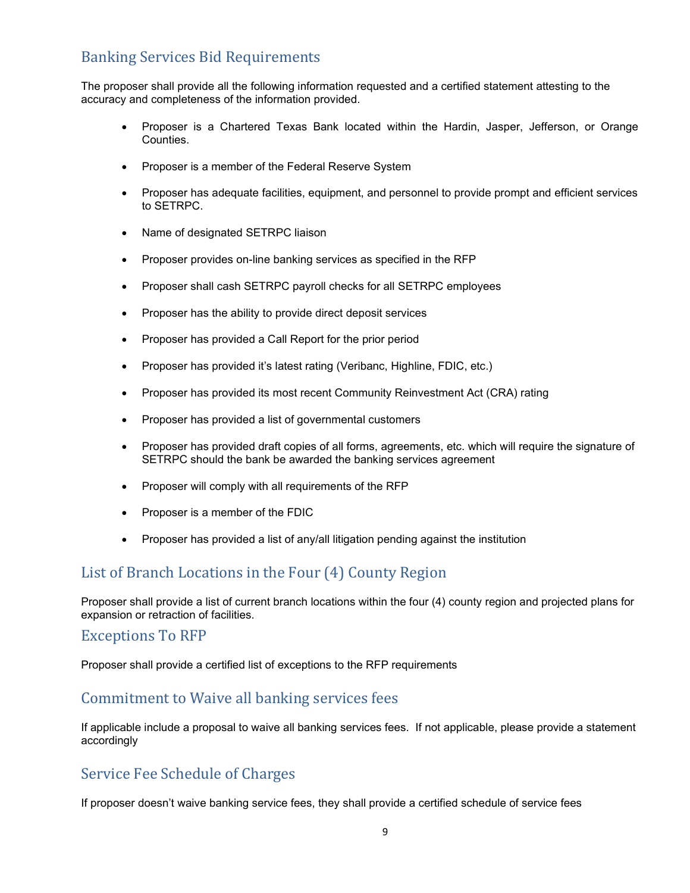### <span id="page-10-0"></span>Banking Services Bid Requirements

The proposer shall provide all the following information requested and a certified statement attesting to the accuracy and completeness of the information provided.

- Proposer is a Chartered Texas Bank located within the Hardin, Jasper, Jefferson, or Orange Counties.
- Proposer is a member of the Federal Reserve System
- Proposer has adequate facilities, equipment, and personnel to provide prompt and efficient services to SETRPC.
- Name of designated SETRPC liaison
- Proposer provides on-line banking services as specified in the RFP
- Proposer shall cash SETRPC payroll checks for all SETRPC employees
- Proposer has the ability to provide direct deposit services
- Proposer has provided a Call Report for the prior period
- Proposer has provided it's latest rating (Veribanc, Highline, FDIC, etc.)
- Proposer has provided its most recent Community Reinvestment Act (CRA) rating
- Proposer has provided a list of governmental customers
- Proposer has provided draft copies of all forms, agreements, etc. which will require the signature of SETRPC should the bank be awarded the banking services agreement
- Proposer will comply with all requirements of the RFP
- Proposer is a member of the FDIC
- Proposer has provided a list of any/all litigation pending against the institution

### <span id="page-10-1"></span>List of Branch Locations in the Four (4) County Region

Proposer shall provide a list of current branch locations within the four (4) county region and projected plans for expansion or retraction of facilities.

#### <span id="page-10-2"></span>Exceptions To RFP

Proposer shall provide a certified list of exceptions to the RFP requirements

### <span id="page-10-3"></span>Commitment to Waive all banking services fees

If applicable include a proposal to waive all banking services fees. If not applicable, please provide a statement accordingly

### <span id="page-10-4"></span>Service Fee Schedule of Charges

If proposer doesn't waive banking service fees, they shall provide a certified schedule of service fees